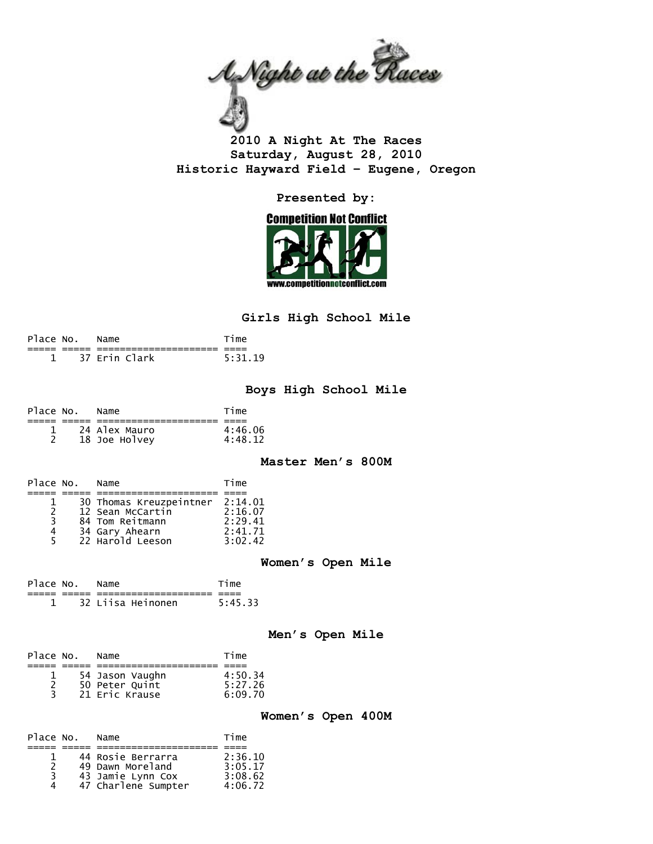

**2010 A Night At The Races Saturday, August 28, 2010 Historic Hayward Field – Eugene, Oregon** 

**Presented by:** 



## **Girls High School Mile**

| Place No. Name |               | Time    |
|----------------|---------------|---------|
|                |               |         |
|                | 37 Frin Clark | 5:31.19 |

### **Boys High School Mile**

| Place No. | Name          | Time    |
|-----------|---------------|---------|
|           |               |         |
|           | 24 Alex Mauro | 4:46.06 |
|           | 18 Joe Holvey | 4:48.12 |

**Master Men's 800M** 

| Place No.      | Name                    | Time    |
|----------------|-------------------------|---------|
|                |                         |         |
|                | 30 Thomas Kreuzpeintner | 2:14.01 |
| $\overline{z}$ | 12 Sean McCartin        | 2:16.07 |
| 3              | 84 Tom Reitmann         | 2:29.41 |
| 4              | 34 Gary Ahearn          | 2:41.71 |
| 5.             | 22 Harold Leeson        | 3:02.42 |

### **Women's Open Mile**

| Place No. Name |                   | Time    |
|----------------|-------------------|---------|
|                |                   |         |
|                | 32 Liisa Heinonen | 5:45.33 |

#### **Men's Open Mile**

| Place No. | Name            | Time    |
|-----------|-----------------|---------|
|           |                 |         |
|           | 54 Jason Vaughn | 4:50.34 |
|           | 50 Peter Quint  | 5:27.26 |
| 3.        | 21 Eric Krause  | 6:09.70 |

#### **Women's Open 400M**

| Place No. | Name                | Time    |
|-----------|---------------------|---------|
|           |                     |         |
|           | 44 Rosie Berrarra   | 2:36.10 |
|           | 49 Dawn Moreland    | 3:05.17 |
| २         | 43 Jamie Lynn Cox   | 3:08.62 |
|           | 47 Charlene Sumpter | 4:06.72 |